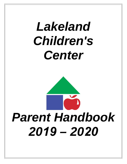## *Lakeland Children's Center*

# *Parent Handbook 2019 – 2020*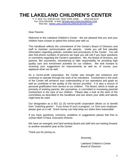### **THE LAKELAND CHILDREN'S CENTER**<br>P. O. BOX 712. SHRUB OAK. NEW YORK 10588 (914) 528-8119

P. O. BOX 712, SHRUB OAK, NEW YORK 10588 Fax: (914) 528-8296 E-Mail: [INFO@LAKELANDCHILDRENS.COM](mailto:INFO@LAKELANDCHILDRENS.COM) Web Site: [WWW.LAKELANDCHILDRENSCENTER.COM](http://www.lakelandchildrenscenter.com/) 

Dear Parents:

Welcome to the Lakeland Children's Center. We are pleased that you and your children have chosen to spend this school year with us.

This handbook reflects the commitment of the Center's Board of Directors and staff to maintain communication with parents. Inside you will find valuable information regarding policies, activities and procedures of the Center. You will also find phone numbers of persons we hope you will call if you have questions or comments regarding the Center's operations. We, the Board of Directors, are parents, like yourselves, volunteering to take responsibility for providing high quality care and enrichment activities for our children. We look forward to receiving your suggestions for improvements as well as, of course, your applause when we do well.

As a not-for-profit corporation, the Center was brought into existence and continues to operate through the work of its volunteers. Involvement in the work of the Center will enhance your understanding of our operations and goals as well as contribute to the quality of the service provided. It is also a source of personal gratification from service to our children. The Board, which is made up primarily of working parents, like yourselves, is committed to increasing parental involvement in the care of our children. Please take a look at the work of the committees as described in the handbook and see where your skills and talents might best be used.

Our designation as a 501 (c) (3) not-for-profit corporation allows us to benefit from "matching grants". If you know of such a program, i.e. from your employer, please give us a call. Grant money can help keep our tuition fees reasonable.

If you have questions, concerns, problems or suggestions please feel free to contact Beth O'Hara, Executive Director.

We have an energetic and hard working Board and staff who are looking forward to another wonderful year at the Center.

Thank you for joining us.

Sincerely,

Lakeland Children's Center Board of Directors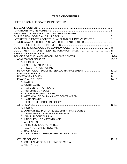#### **TABLE OF CONTENTS**

#### LETTER FROM THE BOARD OF DIRECTORS

| INTERESTING FACTS ABOUT THE LAKELAND CHILDREN'S CENTER  6 |           |
|-----------------------------------------------------------|-----------|
|                                                           |           |
|                                                           |           |
|                                                           |           |
|                                                           |           |
|                                                           |           |
|                                                           |           |
|                                                           |           |
| A. ELIGIBILITY                                            |           |
| <b>B. ENROLLMENT POLICY</b>                               |           |
| C. REGISTRATION FORMS                                     |           |
|                                                           | $12 - 14$ |
|                                                           | 14        |
|                                                           | 14        |
|                                                           | $14 - 15$ |
| A. RATES                                                  |           |
| <b>B. CONTRACTS</b>                                       |           |
| C. PAYMENTS IN ARREARS                                    |           |
| <b>D. RETURNED CHECKS</b>                                 |           |
| E. SCHEDULE CHANGE FEE                                    |           |
| F. ATTENDANCE ON DAYS NOT CONTRACTED                      |           |
| <b>G. LATE PICK-UP</b>                                    |           |
| H. REGISTERED DROP-IN POLICY                              |           |
|                                                           | $16 - 18$ |
| A. HOURS                                                  |           |
| B. AUTHORIZED PICK-UP & SECURITY PROCEDURES               |           |
| C. TEMPORARY CHANGE IN SCHEDULE                           |           |
| D. DROP-IN SCHEDULING                                     |           |
| E. UNSCHEDULED ATTENDANCE                                 |           |
| F. ABSENCES                                               |           |
| <b>G. AFTER SCHOOL ACTIVITIES</b>                         |           |
| H. VACATION CARE PROGRAM                                  |           |
| I. HALF-DAYS                                              |           |
| J. CHILD LEFT AT THE CENTER AFTER 6:15 PM                 |           |
|                                                           | 18-19     |
| A. SCREENING OF ALL FORMS OF MEDIA                        |           |
| <b>B. VISITATION</b>                                      |           |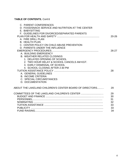#### **TABLE OF CONTENTS**, Cont'd

| C. PARENT CONFERENCES                                   |           |
|---------------------------------------------------------|-----------|
| D. FOOD/SNACK SERVICE AND NUTRITION AT THE CENTER       |           |
| E. BABYSITTING                                          |           |
| F. GUIDELINES FOR DIVORCED/SEPARATED PARENTS            |           |
|                                                         | $20 - 26$ |
| A. FIRE DRILL PLAN                                      |           |
| <b>B. HEALTH PLAN</b>                                   |           |
| C. CENTER POLICY ON CHILD ABUSE PREVENTION              |           |
| D. PARENTS UNDER THE INFLUENCE                          |           |
|                                                         | $26 - 27$ |
| A. BUILDING EMERGENCY                                   |           |
| <b>B. WEATHER RELATED CLOSINGS</b>                      |           |
| 1. DELAYED OPENING OF SCHOOL                            |           |
| 2. TWO HOUR DELAY & SCHOOL CANCELS AM KGT.              |           |
| 3. EARLY DISMISSAL OF SCHOOL                            |           |
| 4. SCHOOL CLOSING AFTER 2:30 PM                         |           |
|                                                         | 28        |
| A. GENERAL GUIDELINES                                   |           |
| <b>B. INCOME CRITERIA</b>                               |           |
| C. SPECIAL CIRCUMSTANCES                                |           |
| D. DOCUMENTATION                                        |           |
| ABOUT THE LAKELAND CHILDREN'S CENTER BOARD OF DIRECTORS | 29        |
| COMMITTEES OF THE LAKELAND CHILDREN'S CENTER            | 29        |
|                                                         | 30        |
|                                                         | 31        |
|                                                         | 32        |
|                                                         | 33        |
|                                                         | 33        |
|                                                         | 34        |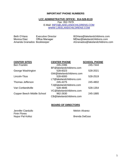#### **IMPORTANT PHONE NUMBERS**

#### **LCC ADMINSTRATIVE OFFICE: 914-528-8119**

Fax: 352-7679 E-Mail: [INFO@LAKELANDCHILDRENS.COM](mailto:INFO@LAKELANDCHILDRENS.COM) [WWW.LAKELANDCHILDRENS.COM](http://www.lakelandchildrens.com/)

Beth O'Hara: Executive Director Monica Diaz: Office Manager Amanda Granados: Bookkeeper

BOHara@lakelandchildrens.com MDiaz@lakelandchildrens.com AGranados@lakelandchildrens.com

Ben Franklin

George Washington

Lincoln-Titus

Thomas Jefferson

Van Cortlandtville

Copper Beech Middle School

|                                    | <b>CENTER PHONE</b> |  |  |
|------------------------------------|---------------------|--|--|
| $\sim$ $\sim$ $\sim$ $\sim$ $\sim$ |                     |  |  |

**CENTER SITES CENTER PHONE SCHOOL PHONE**

| -245-2396                | -245-7444 |
|--------------------------|-----------|
| BF@lakelandchildrens.com |           |
| 528-8323                 | 528-2021  |
| GW@lakelandchildrens.com |           |
| 528-6000                 | 528-2519  |
| LT@lakelandchildrens.com |           |
| 245-4275                 | 245-4802  |
| TJ@lakelandchildrens.com |           |
| 528-4846                 | 528-1354  |
| VC@lakelandchildrens.com |           |
| 962-2630                 | 245-1885  |
| CB@lakelandchildrens.com |           |
|                          |           |

#### **BOARD OF DIRECTORS**

Jennifer Ciardullo **Melvin Alvarez** Melvin Alvarez Finin Flores Nupur Pal Kolisz **Brenda DeEsso**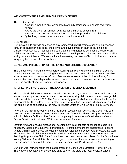#### **WELCOME TO THE LAKELAND CHILDREN'S CENTER:**

The Center provides:

- A warm, supportive environment with a family atmosphere, a "home away from home."
- A wide variety of enrichment activities for children to choose from.
- Structured and non-structured indoor and outdoor play with other children.
- Quiet time, homework assistance and nutritious snacks.

#### **OUR MISSION:**

Our mission is to provide an enriching environment which will promote positive experiences through socialization and assist the growth and development of each child. Lakeland Children's Center (LCC) focuses on creating a safe and nurturing atmosphere where each child is encouraged to pursue his/her own interest, develop friendships and interpersonal skills and grow in confidence. We are dedicated to meeting the needs of both children and parents for quality before and after school care.

#### **GOALS AND PHILOSOPHY OF THE LAKELAND CHILDREN'S CENTER:**

The Center is committed to the support of working families and fostering children's positive development in a warm, safe, caring home-like atmosphere. We strive to create an enriching environment, which is non-stressful and flexible to the needs of the children allowing for socialization and friendships to be formed. Under the supervision of our trained professional staff, the quality of care is of primary importance.

#### **INTERESTING FACTS ABOUT THE LAKELAND CHILDREN'S CENTER:**

The Lakeland Children's Center was established in 1981 by a group of parents and educators in the community who shared a common concern for quality child care for the school-age child and opened its doors in 1982. The Center currently provides before and after school care for approximately 300 children. The Center is a not-for-profit organization, which operates within the guidelines as stipulated by the New York State Office of Children and Family Services.

As one of the first in-school child care facilities in Westchester County, the Center has been used as a model for other centers and for state and federal legislation designed to assist inschool child care facilities. The Center is completely independent of the Lakeland Central School District, which allows LCC to use the schools for space.

Staff training and ongoing professional development in all aspects of school-age care is a necessary factor in the quality of our program. All staff members are encouraged to attend annual training conferences provided by such agencies as the School-Age Directors' Network, The NYS Office of Children and Family Services and SUNY Early Childhood Education and Training Program, the Child Care Council and the Westchester Association for the Education of Young Children. The staff is also encouraged to attend workshops or take online training on specific topics throughout the year. The staff is trained in CPR & Basic First Aid.

Our staff was instrumental in the establishment of a School-Age Directors' Network in 1987. The Network advocates for school-age child care on the state and local levels, provides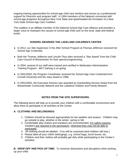ongoing training opportunities for school-age child care workers and serves as a professional support for Directors and program staff. In 1994 members of the Network connected with school-age programs throughout New York State and spearheaded the formation of a New York State School-Age Care Coalition.

The coalition is an affiliate member of the National School-Age Care Alliance and provides a larger voice to champion the causes of school-age child care on the local, state and federal levels.

#### **HONORS AWARDED THE LAKELAND CHILDREN'S CENTER**

- ♦ In 2012, our Site Supervisor in the After School Program at Thomas Jefferson received her School Age Credential.
- ♦ Both the Thomas Jefferson and Lincoln-Titus sites received a "Star Award" from the Child Care Council of Westchester for their special programming.
- ♦ In 2004, several of our staff were trained and certified in Medication Administration Training Program. MAT training is on-going.
- ♦ In 2001/2002, the Program Coordinator received her School-Age Care Credential from Cornell University and the Joey Award in 1996.
- ♦ In 2001/2002, the Executive Director was awarded an Outstanding Service Award from the Westchester Community Network and the Lakeland Children and Family Network.

#### **NOTES FROM THE SITE SUPERVISORS:**

The following items will help us to provide your children with a comfortable environment and allow them to participate in all activities at the Center.

#### **A. CLOTHING AND BELONGINGS:**

- 1. Children should be dressed appropriately for the weather and season. Children may go outside to play, whether in the winter, spring or fall.
- 2. Comfortable play clothes and sneakers are recommended. For safety reasons, sneakers are required in the gymnasium, otherwise they may not be able to participate.
- 3. All clothing should be labeled. (You will be surprised what children will lose.)
- 4. Please label all your child's belongings, e.g. school bags, lunch boxes, etc.
- 5. Children and their clothes will probably get dirty while participating in the Center's activities.

**B. DROP-OFF AND PICK-UP TIME:** To minimize distractions and disruptions when picking up your child: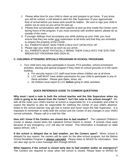- 1. Please allow time for your child to clean up and prepare to go home. If you know you will be rushed, a call ahead to alert the Site Supervisor of your approximate time of arrival before you leave work would be helpful. Be sure to sign your child in and/or out as soon as you arrive for pick-up.
- 2. Please limit conversations with other parents at pick-up time inside the Center room during hours of the program, if you must converse with another parent, please do so outside of the room.
- 3. If younger siblings must accompany you while picking up your child, you must ensure that they are under your supervision at all times and that they are reminded to respect the property of the Center.
- 4. ALL PARENTS MUST SIGN THEIR CHILD OUT UPON PICK UP.
- 5. Please sign your child out as soon as you arrive.
- 6. ALL PARENTS MUST PHYSICALLY BRING THEIR CHILD INTO THE SITE FOR BREAKFAST PROGRAM AND SIGN IN.

#### **C. CHILDREN ATTENDING SPECIALS PROGRAMS IN SCHOOL PROGRAMS:**

- 1. Your child (ren) may also participate in Scouts, PTA activities, school enrichment activities, tutoring and special program if they meet on school grounds or in the same building.
	- a. For security reason LCC staff must know where children are at all times.
	- b. LCC staff MUST have written permission for your child to participate in any of these activities. Please give dates, times, etc.
	- c. All children must report to LCC **before** going to other activities.

#### **QUICK REFERENCE GUIDE TO COMMON QUESTIONS**

**Why must I send a note to both the school teacher and the Site Supervisor when my child is going to be absent from the Center? Isn't the note to the school enough?** No, with all the notes your child's teacher at school is responsible for, it is unrealistic and unfair to expect the teacher to also be responsible for notifying the Center of your child's absence. Notes to the school teacher may get lost in transit and never reach the Site Supervisor. It is important to remember to notify both the school and the Center of any changes in your child's normal schedule. Please call or e-mail the Site.

**How will I know if the Centers are closed due to bad weather?** The Lakeland Children's Center is always closed when the Lakeland School District is closed. If schools close early because of any emergency, LCC will also be closed. This information is broadcast on radio station WHUD, 100.7.

**If the school is delayed due to bad weather, are the Centers open?** When school is delayed for any reason, the centers will be open for the after-school program, but the Before School Breakfast Program is **always canceled**. Please listen to WHUD for information. One can also sign up for a text message alert through WHUD.

**What happens if the school is closed early due to bad weather and/or an emergency?**  The Centers are required to close when the school is closed. Please listen to WHUD for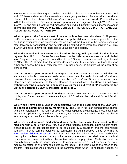information if the weather is questionable. In addition, please make sure that both the school and LCC have updated numbers, e-mails and emergency contacts. Parents will not receive a phone call from the Lakeland Children's Center to state that we are closed. Please listen to WHUD for information. One can also sign up for a text message alert through WHUD. Log into WHUD and sign up for their text messages and find out instantly via text messages about delays and closures. \*\*\*LCC WILL BE CLOSED IF THE SCHOOL DISTRICT CANCELS \*\*\*LCC WILL BE CLOSED IF THE SCHOOL DISTRICT CANCELS **ALL AFTER SCHOOL ACTIVITIES\*\*\***

**What happens if the Centers must close after school has been dismissed?** All parents and/or emergency contacts will be called to pick up the children as soon as possible. If the building is evacuated in an emergency, the children will be brought to the nearest school or other location by transportation and parents will be notified as to where the children are. This is when you need to have your child picked up as soon as possible.

**When the school and the Centers are closed for the day, will I get credit for that day on my monthly bill?** No. Center fees are based on the 182-day school calendar and divided into 10 equal monthly payments. In addition to the 182 days, there are several days planned as "Snow Days". If more than the allotted days are used they are made up during the year either on a school holiday or vacation day. On those days, the Centers will be open at no extra charge.

**Are the Centers open on school half-days?** Yes, the Centers are open on half days for elementary schools. We open early to accommodate the early dismissal of children. However, there is a surcharge for children enrolled in Slots C and D due to the extra hours. Please see the tuition schedule for fees. Children must bring lunch. **To attend on half days without receiving a surcharge, one must pick up their child by 2:30PM if registered for Slot C and pick up by 3:30PM if registered for Slot D.**

**Are the Centers open on school holidays?** Please note that LCC is not open on school holidays or Superintendent Conference Days. LCC follows the Lakeland School District calendar.

**Why, when I have paid a Drop-In Administrative fee at the beginning of the year, am I still charged a drop-in fee on my monthly bill?** The Drop-In fee is an administrative charge and is non-refundable. This administrative fee is not applied to actual usage. If you have used the Drop-In option at any time during the month, your monthly statement will reflect the charge for that usage. An invoice will be emailed to you.

**When my child requires medication during Center hours can I just send in their medicine with a note from me?** No, if your child requires medication during Center hours, please request the appropriate form to be completed by a physician and the parent/legal guardian. Forms can be obtained by contacting the Administrative Office or online at [www.lakelandchildrenscenter.com.](http://www.lakelandchildrenscenter.com/) Children will not be administered any medication, prescription, variation in diet or any other remedy treatment, nor shall special medical procedures be carried out without the written order of a physician. Medication shall be carefully labeled with the child's name, in its original container as well as being the exact medication stated on the form completed by the doctor. It is kept beyond the reach of the children. Medications will be returned to the parent/guardian when it is no longer needed. All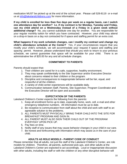medication MUST be picked up at the end of the school year. Please call 528-8119 or e-mail us at [info@lakelandchildrens.com](mailto:info@lakelandchildrens.com) for more information.

**If my child is enrolled for less than five days per week on a regular basis, can I switch one attendance day for another? I.e. if my contract is for Monday, Tuesday and Friday, can my child attend on a Wednesday instead of a Friday in a given week without additional charge?** No, you cannot substitute one day for another. You are responsible for your regular monthly tuition for which you have contracted. However, your child may attend on a drop-in basis on a day not contracted for if space and staffing permit for an extra cost.

**What happens if my work schedule changes, can I modify my contract and change my child's attendance schedule at the Center?** Yes, if your circumstances require that you modify your child's schedule, we will accommodate your request if space and staffing and spacing permit. However, please understand that should you wish to return to your previous schedule, we cannot guarantee that space will be available for your child. There is an administrative fee of \$20.00 for any and all schedule changes.

#### **COMMITMENT TO PARENTS**

Parents should expect that:

- 1. Their children are cared for in a safe, supportive, healthy environment.
- 2. They may speak confidentially to the Site Supervisor and/or Executive Director about concerns related to their children or the program.
- 3. Discipline and consequences to inappropriate behavior will be fair, equal, and respectful of all the children.
- 4. A variety of child-center experiences will be available daily.
- 5. Communication between Staff, Parents, Site Supervisor, Program Coordinator and the Executive Director will be open and accessible.

#### **EXPECTATION OF THE PARENTS**

Lakeland Children's Center expects the following from the parents:

- 1. Keep all enrollment forms up to date, especially home, work, cell, e-mail and other emergency telephone numbers. All information must be up to date.
- 2. Be receptive to communication from staff about the child and work with staff to an agreeable solution to the problems.
- 3. ALL PARENTS MUST PHYSICALLY BRING THEIR CHILD INTO THE SITE FOR BREAKFAST PROGRAM AND SIGN IN.
- 4. ALL PARENT MUST ALSO SIGN THEIR CHILD OUT OF THE PROGRAM EVERYDAY UPON PICK UP.
- 5. Pay fees on time.
- 6. Notify staff of any issues that may cause behavior changes in your child in our care.
- 7. Be honest and forthcoming with information which may assist us in the care of your child.

#### **ADULTS AS ROLE MODELS - PARENT CODE OF CONDUCT**

Please remember that all adults, not just the staff of the Lakeland Children's Center, are role models for children. Therefore, all parents, authorized pick-ups, and other adults at the Lakeland Children's Center are expected to act accordingly. Loud or inappropriate discussion with other adults, including the staff or with the children or any other disruptive behavior will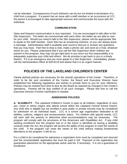not be tolerated. Consequences of such behavior can be but not limited to termination of a child from a program. If a parent has an issue with a staff member or an occurrence at LCC, the parent is encouraged to take appropriate avenues and communicate the issue with the individual.

#### **COMMUNICATION**

Open and frequent communication is very important. You are encouraged to talk often to the Site Supervisor. The better we communicate with each other, the better we are able to care for your child. Should you need to talk to the Site Supervisor, please call the appropriate Site to speak to the staff member. Each Site has an answering machine, so you can always leave a message. Administrative staff is available year-round to discuss or answer any questions that you may have. Feel free to drop a note, make a phone call, and send an e-mail, whatever works for you. Please understand that if you call the Site Supervisor when children are present in the program, they may not get right back to you since our first responsibility is to adequately supervise your child and others. We do promise to get back to you in a timely fashion. If it is an emergency and you must speak to a Site Supervisor immediately, please call the Administrative Office at 528-8119 and advise that it is an urgent manner.

#### **POLICIES OF THE LAKELAND CHILDREN'S CENTER**

Clearly defined policies are necessary for the smooth operations of the Center. Therefore, in order to be fair and consistent of the Center, the Board and Executive Director have established the following regulations and wishes to provide them to you for your reference. Policies may be revised from time to time by the Board as required by changes in the Center's operations. Parents will be duly notified of all such changes. Please feel free to call the Executive Director if further clarification is needed.

#### **ADMISSIONS POLICIES**

**A. ELIGIBILITY** - The Lakeland Children's Center is open to all children, regardless of race, sex, creed or ethnic origins who attend school within the Lakeland Central School District. Any child who is eligible but not enrolled in area public or private schools may be considered for admission on an individual basis. LCC is a school age organization dedicated to all abilities, cultures, religions and socioeconomic status. For children with special needs, LCC will work with the parents to determine what accommodations may be necessary. The program will comply with the provisions of the Americans with Disabilities Act. If any child seeking enrollment into the program has or in the future is identified as having a disability covered under the Act, the program will access the ability of the program to meet the needs of the child. If the program can meet the needs of the child without making fundamental alterations to the program, it will do so.

For a child to be considered for admission a registration form must be completed and returned and the nonrefundable registration fee must be paid in full. Payment of the registration fee guarantees placement on the appropriate active wait list, if necessary. It is not a guarantee of enrollment.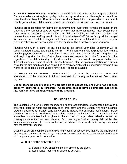**B. ENROLLMENT POLICY** - Due to space restrictions enrollment in the program is limited. Current enrollees must register by May 1st for priority consideration. New registrations will be considered after May 1st. Registrations received after May 1st will be placed on a waitlist with priority given to those children attending the greatest number of days and hours per week.

Families are responsible for their tuition commitment for September enrollment based on the slot(s) and the number of days per week for which they have contracted. After September, if circumstances require that you modify your child's schedule, we will accommodate your request if space and staffing permit. An administrative fee of \$20.00 per family will be charged for any and all schedule changes; and should you wish at a later date to return to your previous schedule, we cannot guarantee that space will be available for your child (ren).

Families who wish to enroll at any time during the school year after September will be accommodated if space and staffing permit. The full non-refundable registration fee and first month's payment is expected at the time of enrollment. Families enrolling on a regular basis and beginning after the first of any given month are responsible for the full month's tuition regardless of the child's first day of attendance within a month. We do not pro-rate tuition fees if a child attends for a partial month. We do, however, offer the option of enrolling on a drop-in basis for the first month and then converting to regular enrollment in subsequent months if this works out to be less expensive for a family and if space is available.

**C. REGISTRATION FORMS** - Before a child may attend the Center ALL forms and information must be completed in full and returned with the registration fee and first month's payment.

**Due to licensing specifications, we are not able to accept any child who has not been properly registered in our program. All children need to have a completed medical on file. Only enrolled children can attend the program.** 

#### **BEHAVIOR POLICY**

The Lakeland Children's Center reserves the right to set standards of acceptable behavior in order to protect the rights and property of children, staff, and the Center. We follow a simple program designed to provide consistency and to nurture the children's self-esteem. Rules clearly state what is considered appropriate behavior and what is not. Consistent and immediate positive feedback is given to the children for appropriate behavior as well as consequences for inappropriate behavior. Each day begins fresh and every child will be able to make choices about their behavior knowing in advance the rewards and consequences and how the staff will respond.

Outlined below are examples of the rules and types of consequences that are the backbone of the program. As you review these, please keep in mind that this program cannot be effective without your support and cooperation.

#### **A. CHILDREN'S CENTER RULES**

- 1. Listen & follow directions the first time they are given.
- 2. Keep hands, feet and all objects to yourself.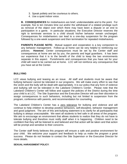- 3. Speak politely and be courteous to others.
- 4. Use a quiet indoor voice.

**B. CONSEQUENCES** for misbehaviors are brief, understandable and to the point. For example, five to ten minutes time out and/or the withdrawal of a related privilege such as removal of the object over which there may have been a dispute or an end to participation in a game. In particular situations, the Executive Director reserves the right to terminate services to a child should his/her behavior remain unchanged. Consequences for misbehaviors can lead to a one-day suspension for the program followed by a one-week suspension and then termination for repeated misbehaviors.

**PARENTS PLEASE NOTE:** Mutual support and cooperation is a key component to any behavior management. Follow-up at home can be very helpful to reinforcing our policies. **However**, Center consequences must be set by the Center staff and consequences at home are set by you, the parents and legal guardians. It has been our experience that it is to the benefit of the child to keep the two environments separate in this aspect. Punishments and consequences that you have set for your child will need to be carried out at home. LCC will not reinforce any consequence that you have set at the Center.

#### **BULLYING**

LCC views bullying and teasing as an issue. All staff and students must be aware that bullying behavior cannot be tolerated in our programs. We will make every effort to see that the victim and the bully will be dealt with appropriately. It is our policy that any form of violence and bullying will not be tolerated in the Lakeland Children's Center. Please note that the Lakeland Children's Center will follow and support the policies of the District during the time your child is at LCC. The Site Supervisor and the Executive Director will use their discretion to assign consequences to such behaviors, including but not limited to suspension from the program, conference with parents, and recommendation for counseling.

The Lakeland Children's Center has a zero tolerance for bullying and violence and will continue to help children to develop positive behaviors, self-discipline, behavior management and good judgment. The aim of this anti-bullying statement is to clarify for all participants that bullying is always unacceptable. We want all students to feel safe in all areas of the program. We aim to encourage an environment that allows students to realize that they do not have to tolerate bullying and therefore must notify staff when it is happening. Children need to be confident that they will be listened to and believed and that action will be taken and that action will be prompt and sensitive to their concerns.

The Center staff firmly believes this program will ensure a safe and positive environment for your child. We welcome your support and feedback to help us make the program a great success. Please do not hesitate to contact the Site Supervisor or the Executive Director for more details.

#### **SEXUAL HARASSMENT POLICY**: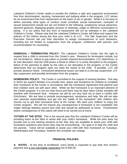Lakeland Children's Center seeks to provide the children a safe and supportive environment free from discrimination, taunting, harassment and bullying while in the program. LCC strives for an environment free from harassment on the basis of sex or gender. While it is not easy to define precisely what types of conduct could constitute sexual harassment, examples of sexual harassment include but are not limited to the following: unwelcome sexual advances, obscene gestures, displaying graphic pictures or drawings, vulgar or offensive conversation or joking. It is our policy that any form of harassment will not be tolerated in the Lakeland Children's Center. Please note that the Lakeland Children's Center will follow and support the policies of the District during the time your child is at LCC. The Site Supervisor and the Executive Director will use their discretion to assign consequences to such behaviors, including but not limited to suspension from the program, conference with parents, and recommendation for counseling.

**DISMISSAL / TERMINATION POLICY:** The Lakeland Children's Center has the right to request that a child is removed from the Center's care. Reasons for termination include, but are not limited to: failure to pay tuition or provide required documentation; LCC determines, in its sole discretion, that the child poses a threat to others or is overly disruptive to the program; failure of the parent(s) to abide by the rules or are disruptive to the program; or the Center determines that our program does not meet the needs of the child. If possible, LCC will provide advance notice. Unresolved behavioral issues can lead to a one-day suspension, a 5 day suspension and possibly termination from the program.

**HOMEWORK POLICY:** The Center is committed to the support of working families. One way in which we support families is to provide time, space and assistance for children to complete their homework at the Center in accordance with the Homework Agreement that parents and their children work out with each other. While we feel homework is an important element of the Center program, it is not our main focus and there may be days when Center activities will interfere with homework time. However we will do out very best not to have a conflict with Enrichment. We are here to provide encouragement, assistance and help. We will not take over parental responsibilities and get into the "battle of the homework" with children who choose not to get their homework done at the Center. We want your children to enjoy the Center program. We will not impose any consequences if homework is not completed; this matter belongs between parent and child and should be addressed at home. Punishments and/or consequences of this nature will need to be carried out at home.

**TUTORS AT THE SITES**: This is the second year that the Lakeland Children's Center will be providing tutors at the Sites to assist with your child's homework. While the tutor does not provide one to one tutoring sessions at the Site, they are available to assist your child with homework questions and issues they may be encountering. Our goal is to help the child and the parents. Tutors will be available to assist your child with their homework on Tuesdays, Wednesdays and Thursdays, however this schedule can change.

#### **FINANCIAL POLICIES**

**A. RATES -** At the time of enrollment, every family is expected to pay their first month's payment and a non-refundable registration fee of \$40.00.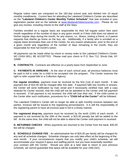Regular tuition rates are computed on the 182-day school year and divided into 10 equal monthly installments. Current fees for attending the Lakeland Children's Center are described on the **"Lakeland Children's Center Monthly Tuition Schedule"** that was included in your registration packet and on the website at [www.lakelandchildrenscenter.com.](http://www.lakelandchildrenscenter.com/) Please do not give any monies, including checks to the staff at the Sites.

Families enrolled on a regular basis are responsible for their full regular tuition fees each month regardless of the number of days in any given month or if their child does not attend on his/her regular days during the month, for any reason, i.e., illness, visiting a friend, or if parent requests that she/he go home on the bus, etc. Additionally, if a family who is enrolled on a regular basis terminates their use of the Center, for any reason whatsoever, prior to the end of a given month and regardless of the number of days remaining in the month, they are responsible for their full month's tuition.

All payments can be made either by check or money order to the Lakeland Children's Center. NO CASH WILL BE ACCEPTED. Please mail your check to P.O. Box 712, Shrub Oak, NY 10588

**B. CONTRACTS** - Contracts are effective on a yearly basis from September to June.

**C. PAYMENTS IN ARREARS** - At the start of each school year, all previous balances must be paid in full in order for a child to be accepted into the program. The Center reserves the right to refer unpaid bills to a Collection Agency.

**For regular enrollees**, payment must be received by the first (1st) of each month. A late payment fee of \$15.00 will be charged after this date. If payment falls two months in arrears, the Center will send notification by mail, email and if necessarily certified mail, with a copy retained for Center records, that the child will not be admitted to the Center until full payment is received. If full payment is not received, the child will lose their slot. If the child comes to the Center after such notification, procedures for a **"Child left at the Center"** will be followed.

The Lakeland Children's Center will no longer be able to split monthly invoices between two parties. Invoices will be issued to the registering person/parent. It is still the responsibility of the registering parent to have all invoices paid in full in a timely manner.

**For registered drop-ins,** payment must be received by the tenth (10th) of each month. If payment is not received by the 20th of the month, a \$15.00 penalty fee will be added to the bill. At the same time, the child will not be able to attend the Center until payment is received.

**D. RETURNED CHECKS** - When payments are returned to the Center from the bank, \$35.00 fee will be charged.

**E. SCHEDULE CHANGE FEE** - An administrative fee of \$20.00 per family will be charged for any and all schedule changes. Schedule changes can only take effect at the beginning of the next month. If your circumstances require that you modify your child's schedule, we will accommodate your request if space and staffing permit, but you have essentially rewritten your contract with the Center. Should you wish at a later date to return to your previous schedule, we cannot guarantee that space will be available for your child (ren).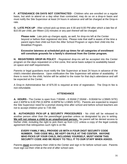**F. ATTENDANCE ON DAYS NOT CONTRACTED** - Children who are enrolled on a regular basis, but wish to attend on a day other than contracted, may do so on a drop-in basis and must notify the Site Supervisor at least 24 hours in advance and will be charged at the Drop-in rate.

**G. LATE PICK-UP** - After school pick-up times are 4:30 and 6:00 PM after which a late fee of \$10.00 per child, per fifteen (15) minutes or any part thereof will be charged.

**Please note**: Late pick-up charges apply, as well, for drop-ins left at the Center beyond or before their registered slot time. Please note that staff is aware of the time a parent signs their child out from the After School Program or signs their child into the Breakfast Program.

**Excessive lateness at scheduled pick-up times for all categories of enrollment will constitute grounds for a family's dismissal from the Center program.**

**H. REGISTERED DROP-IN POLICY** - Registered drop-ins will be accepted into the Center program on the days requested on a first come, first serve basis subject to availability based on space and staff requirements.

Parents or legal guardians must notify the Site Supervisor at least 24 hours in advance of the child's intended attendance. Upon notification the Site Supervisor will advise of availability. If there is room for the child, he/she will be added to the roster for that day's attendance and will be expected at the Center.

A Drop-In Administrative fee of \$75.00 is required at time of registration. The Drop-In fee is non-refundable.

#### **ATTENDANCE**

**A. HOURS -** The Center is open from 7:00AM – 8:30AM (7:00AM – 9:00AM for LCBMS SITE) and 2:30PM to 6:00 PM (3:30PM -6:00PM for LCBMS SITE). Parents are expected to respect the Site Supervisor need for a prompt closing time after school and before school teachers are not to accept children prior to 7:00 AM.

**B. AUTHORIZED PICK-UP & SECURITY PROCEDURES** - No child will be released to another person other than the parent/legal guardian unless so designated by you in writing. **We will not release a child to an unauthorized person.** No parent will be denied access to his/her child, including the right to pick them up from LCC unless a copy of the legal custody agreement that relinquishes such right is on file.

#### **EVERY FAMILY WILL PROVIDE US WITH A FOUR DIGIT SECURITY CODE NUMBER. THIS CODE WILL BE KEPT ON FILE AT THE CENTER. ANYONE WHO PICKS UP YOUR CHILD, INCLUDING YOURSELF, MUST KNOW THIS SECURITY CODE AND BE READY TO TELL IT TO OUR STAFF WHEN ASKED.**

Parents **must** accompany their child to the Center and sign in for before school care. Parents must sign out their child at the end of after school care.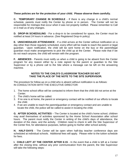#### **These policies are for the protection of your child. Please observe them carefully.**

**C. TEMPORARY CHANGE IN SCHEDULE** - If there is any change in a child's normal schedule, parents must notify the Center by phone or in person. The Center will not be responsible for mishaps that occur when it was not properly notified. Please remember to Call or e-mail us of any changes.

**D. DROP-IN SCHEDULING** - For a drop-in to be considered for space, the Center must be notified at least 24 hours in advance. (See Registered Drop-In policy)

**E. UNSCHEDULED ATTENDANCE** - If a child arrives at the Center without notification on a day other than those regularly scheduled, every effort will be made to reach the parent or legal guardian. Upon notification, the child will be sent home on the bus or the parent/legal guardian must make arrangements to pick the child up at the Center. Please note that if we do not reach anyone, the child will remain with the program.

**F. ABSENCES** - Parents must notify us when a child is going to be absent from the Center program for any reason either by a note signed by the parent or guardian to the Site Supervisor or by a phone call to the Site where a message can be left on the answering machine.

#### **NOTES TO THE CHILD'S CLASSROOM TEACHER DO NOT TAKE THE PLACE OF THE NOTE TO THE SITE SUPERVISOR.**

The procedure for follow-up on a child who is absent without notification is as follows: IN CONSULTATION WITH THE EXECUTIVE DIRECTOR:

- 1. The home school office will be contacted to inform them that the child did not arrive at the Center.
- 2. The child's home will be called.
- 3. If no one is at home, the parent or emergency contact will be notified of our efforts to locate the child.
- 4. If we are unable to reach the parent/guardian or emergency contact and are unable to locate the child, the police will be called to assist in locating the child.

**G. AFTER SCHOOL ACTIVITIES** – The Center is located at the child's home school, children may avail themselves of activities sponsored by the Home School Association after school hours. The parent must notify the Center in writing of the child's days of attendance, the duration of the class, and the activity. Children need to check in with the Site Supervisor of the Center first, for attendance purposes, before going to his/her after school activity.

**H. HALF-DAYS** - The Center will be open when half-day teacher conference days are scheduled at individual schools. Additional fees will apply. Please refer to the tuition schedule for fees.

**I. CHILD LEFT AT THE CENTER AFTER 6:15** - In the event that a child is left at a Center after the closing time, without any prior communication from the parent, the Site Supervisor will take the following steps: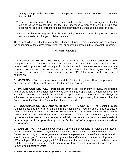- 1. Every attempt will be made to contact the parent at home or work to make arrangements for the child.
- 2. The emergency number listed for the child will be called to make arrangements for the child to either be picked up or for the Site Supervisor to drop off the child using a taxi. Parents will be billed for round-trip cab fare between the Center and the drop-off point.
- 3 Excessive lateness may result in the child being terminated from the program. Every effort is needed to pick your child up on time.

The parent will be billed at the rate of \$15.00 per child, per 15 minutes or any part thereof after the conclusion of the child's regular slot time, or prior to if enrolled in the Breakfast Program.

#### **OTHER POLICIES**

**ALL FORMS OF MEDIA:** The Board of Directors of the Lakeland Children's Center recognizes that the showing of carefully selected films and videotapes can enhance a recreational program and add variety to it. Such films and videotapes are not central to the program, however, and are to be used on an occasional rather than regular basis. LCC approves the showing of "G" Rated movies only, or "PG" Rated movies, with prior parental permission.

**B. VISITATION** - Parents are welcome to visit the Center at any time. However, parents must follow the LCC's Parent Code of Conduct while at any Site.

**C. PARENT CONFERENCES** - Parents are given every opportunity to review the program and to participate in scheduled conferences with the Site Supervisor. Conferences with the Executive Director can also be scheduled by appointment. Conferences can always be scheduled at any time throughout the school year, by appointment, if a parent, the Site Supervisor or the Executive Director feels there is a need.

**D. FOOD/SNACK SERVICE AND NUTRITION AT THE CENTER** – The Center provides nutritious snacks to the children enrolled in the After School Program and a light breakfast to children attending the Before School Breakfast Program. The Center contracts with a snack service and receives deliveries to the Center twice each month supplemented by purchases by Center staff as needed. Snacks are served daily; we do not provide "full course" meals. **It is most important that parents apprise the Center staff of any special dietary needs or restrictions.**

**E**. **BABYSITTING -** The Lakeland Children's Center neither supports nor rejects the practice of staff members providing babysitting services for parents of enrolled children outside of Center hours. Any such arrangement is between the parent and the staff member only and should be arranged for and carried out only when the staff member is not functioning as a LCC employee. Before engaging a LCC staff member for babysitting services, both the parent and the staff members are required to sign a waiver form that will be provided upon request from the Administrative Office.

#### **F. GUIDELINES FOR DIVORCED/SEPARATED PARENTS:**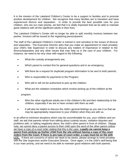It is the mission of the Lakeland Children's Center to be a support to families and to promote positive development for children. We recognize that many families are in transition and have experienced divorce and separation. In order to provide the best possible care for your children, who are our main priority, we feel that it is vitally important that we be able to maintain good relations with all the significant adults in their lives.

The Lakeland Children's Center will no longer be able to split monthly invoices between two parties. Invoices will be issued to the registering person/parent.

The staff of the Lakeland Children's Center is trained in and sensitive to the issues of divorce and separation. The Executive Director asks that you make an appointment to meet privately your child's Site Supervisor in order to discuss any matters of importance in relation to the divorce/separation and any other issues that may help us in the care of your children. For instance, we need to be very clear with regard to the following:

- What the custody arrangements are;
- Which parent to contact first for general questions and in an emergency;
- Will there be a request for duplicate program information to be sent to both parents;
- Who is responsible for payments to the Program;
- Who will or will not be authorized to pick up the children;
- What are the visitation schedules which involve picking up of the children at the

program;

- Who the other significant adults are in the children's life and their relationship to the children, especially if we are to have contact with them as well;
- It will also be helpful to discuss the child's general feelings as you see it so that we may be appropriately responsive to your children when they are with us.

In an effort to minimize situations which may be uncomfortable for you, your children and our staff, we ask that parents refrain from talking about custody issues, visitation disputes and problems with, or talking negatively about, the child's other parent in front of children. Please note, we cannot deny a parent access to their child upon the word of the other parent unless we have a copy of a court order stating that this is the case. **Legally we cannot keep a parent from picking up his/her child from the site without having a copy of the court orders from the Court. If there is any type of court order, a copy must be on file with LCC.** If there are concerns of which we need to be aware, please arrange to meet privately with the Site Supervisor and/or Executive Director. Once again, it is the child's well-being that is our main priority, and we need to be able to maintain good relations with both parents.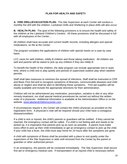#### **PLAN FOR HEALTH AND SAFETY**

**A. FIRE DRILL/EVACUATION PLAN:** The Site Supervisor at each Center will conduct a monthly fire drill with the children. Lockdown Drills and Sheltering In place drills will also occur.

**B. HEALTH PLAN:** The goal of the following provisions is to ensure the health and safety of the children at the Lakeland Children's Centers. All these provisions shall be discussed in full with all employees of the Center...

All children shall have accurate and current health records, including allergies and special medications, on file at the Center.

The program considers the applications of children with special needs on a case by case basis.

LCC cares for well children, mildly ill children and those taking medication. All children are well and parents will be asked to pick up any children if they are mildly ill.

To benefit the health of the children, the daily program can include appropriate rest or quiet time, where a child rest or play quietly and periods of supervised outdoor play when weather permits.

Staff shall take measures to minimize the spread of infections. Staff shall be instructed in CPR and Basic First Aid and to recognize symptoms of illnesses, communicable diseases and child abuse or neglect and shall be alert to identifying these symptoms. First aid supplies will be readily available and include the appropriate directions for their administration.

Children will not be administered any medication, prescription, variation in diet or any other remedy treatment, nor shall special medical procedures be carried out without the written order of a physician. Additional information is available at the Administration Office or on the website. [www.lakelandchildrenscenter.com.](http://www.lakelandchildrenscenter.com/)

If circumstances require it, the Center will contact the child's physician as provided on the registration form. A physician's note will be required should your child have a contagious disease/condition.

If a child is sick or injured, the child's parents or guardians will be notified. If they cannot be reached, the emergency contact will be called. If a child is not feeling well and needs to be picked up, it is imperative that parents pick up as soon as possible. A parent must make every effort to pick up their child immediately or get an emergency contact to pick up the child. If your child has a fever, the child must stay home for 24 hours after the symptoms are gone.

A child with symptoms of illness shall be provided with a place to rest quietly under the supervision of the Site Supervisor or aide until removed from the Center by the parent or guardian or other authorized person.

In an emergency, the parents will be contacted immediately. The Site Supervisor shall secure first aid or emergency medical care. If transportation of an injured child is necessary before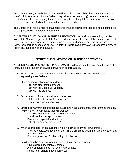the parent arrives, an ambulance service will be called. The child will be transported to the New York-Presbyterian Hudson Valley Hospital (or alternate facility). A member of the Center's staff shall accompany the child and bring to the hospital the Emergency Permission Release Form and Medical Form from the Center records.

The Center shall keep a record of all accidents, injuries and/or emergencies, to be completed by the person who handled the treatment.

**C. CENTER POLICY ON CHILD ABUSE PREVENTION:** All staff is screened by the New York State Central Register of Child Abuse and Maltreatment as part of the hiring process. All staff is trained in recognizing the signs of child abuse and neglect, and the procedures to follow for reporting suspected abuse. Lakeland Children's Center staff is mandated by law to report any suspicion of child abuse.

#### **CENTER GUIDELINES FOR CHILD ABUSE PREVENTION**

**A. CHILD ABUSE PREVENTION PROGRAM:** The following is to be used as a benchmark for building the foundation towards prevention of child abuse.

- 1. Be an "open" Center Create an atmosphere where children are comfortable expressing their feelings.
- 2. Share concerns of and about children.
	- Talk with other staff members.
	- Talk with the Executive Director.
	- Talk with the parents.
- 3. Encourage and foster the children's self-esteem.
	- Help children to know the "good me".
	- Praise every child every day.
- 4. Stress body awareness through language and health and safety programming themes. Help children to appreciate their differences.
	- Learning about and taking care of our bodies.
	- Introduce the concept of privacy.
	- Everyone is special and unique.
	- Talk about "our special selves".
- 5. When appropriate, encourage the children's sense of privacy (ownership).
	- They do not always have to share. There are times when their projects, toys, etc. are theirs alone.
	- Encourage respect for their things, bodies, etc.
- 6. Help them to be assertive and independent in acceptable ways.
	- Give children acceptable choices.
	- Allow children to say "no" when appropriate.
	- Remember, children have rights, too!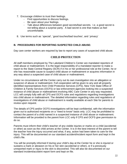- 7. Encourage children to trust their feelings.
	- Find opportunities to discuss feelings.
	- Be open about your feelings.
	- Talk about differences between good secrets/bad secrets. I.e. a good secret is not telling about a surprise party. A bad secret is one that makes us feel uncomfortable.
- 8. Use terms such as `special', `good touches/bad touches', and `privacy'

#### **B. PROCEDURES FOR REPORTING SUSPECTED CHILD ABUSE:**

Day care center workers are required by law to report any cases of suspected child abuse.

#### **CHILD PROTECTION**

All staff members employed by The Lakeland Children's Center are mandated reporters of child abuse or maltreatment. It is the legal responsibility of a mandated reporter to make a report to the State Central Registry (SCR) if in his or her professional role at the Center, he or she has reasonable cause to suspect child abuse or maltreatment or acquires information in any way about a suspected case of child abuse or maltreatment.

Under no circumstance will the Center carry out its own investigation into an allegation or suspicion of abuse or maltreatment. Full cooperation will be given to any and all properly identified representatives from Child Protective Services (CPS), New York State Office of Children & Family Services (OCFS) or law enforcement agencies looking into a suspected instance of child abuse or maltreatment involving ABC Care Center in any way requested. LCC will comply fully with all CPS and OCFS rules and regulations regarding investigations into child abuse or maltreatment. The detailed information regarding rules and regulations of investigations of child abuse or maltreatment is readily available at each Site for parents to review upon request.

The details of CPS and/or OCFS investigations will be kept confidential, with the information given out to authorized recipients on a "need to know" basis only. LCC may be prohibited to contact the parent of a child named in a suspected instance of child abuse or maltreatment. Information will be provided to the parent from LCC only if CPS and OCFS give permission to do so.

Parents must inform their child's teacher of any visible injuries or marks on a child (accidental or other) as soon as the child arrives at the Center. It is in the best interest of the parent to tell the teacher how the injury occurred and what, if any, action had been taken to care for the injury. This will be documented on our standard accident/incident report form and kept in the child's file.

You will be promptly informed if during your child's day at the Center he or she is injured or sustains a mark or abrasion on his or her skin (accidental or other), or if a previously unreported mark or injury to the skin is discovered. This will also be documented on our standard incident/accident report form and kept on file.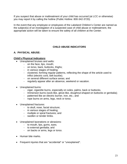If you suspect that abuse or maltreatment of your child has occurred (at LCC or otherwise) you may report it by calling the hotline (Public Hotline: 800-342-3720).

In the event that any employee or employees of the Lakeland Children's Center are named as the subject(s) of an investigation of a suspected case of child abuse or maltreatment, the appropriate action will be taken to ensure the safety of all children at the Center.

#### **CHILD ABUSE INDICATORS**

#### **A. PHYSICAL ABUSE:**

#### **Child's Physical Indicators**:

- Unexplained bruises and welts:
	- on the face, lips, mouth;
	- on torso, back, buttocks, thighs;
	- in various stages of healing;
	- clustered, forming regular patterns, reflecting the shape of the article used to inflict (electric cord, belt buckle);
	- on several different surface areas; and
	- regularly appear after an absence, weekend or vacation.
- Unexplained burns:
	- cigar, cigarette burns, especially on soles, palms, back or buttocks.
	- Immersion burns (sock-like, glove-like, doughnut-shaped on buttocks or genitalia);
	- patterned like an electric burner, iron, etc.; and
	- rope burns on arms, legs, neck or torso.
- Unexplained fractures:
	- to skull, nose, facial structure;
	- in various stages of healing;
	- multiple or spiral fractures; and
	- swollen or tender limbs.
- Unexplained lacerations or abrasions:
	- to mouth, lips, gums, eyes;
	- to external genitalia; and
	- on backs or arms, legs or torso.
- Human bite marks.
- Frequent injuries that are "accidental" or "unexplained".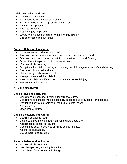#### **Child's Behavioral Indicators:**

- Wary of adult contacts.
- Apprehensive when other children cry.
- Behavioral extremes: aggressive, withdrawal.
- Frightened of parents.
- Afraid to go home.
- Reports injury by parents.
- Wears long-sleeved or similar clothing to hide injuries.
- Seeks affection from any adult.

#### **Parent's Behavioral Indicators:**

- Seems unconcerned about the child.
- Takes an unusual amount of time to obtain medical care for the child.
- Offers an inadequate or inappropriate explanation for the child's injury.
- Gives different explanations for the same injury.
- Misuses alcohol or drugs.
- Disciplines the child too harshly considering the child's age or what he/she did wrong.
- Sees the child as bad, evil, etc.
- Has a history of abuse as a child.
- Attempts to conceal the child's injury.
- Takes the child to a different doctor or hospital for each injury.
- Has poor impulse control.

#### **B. MALTREATMENT:**

#### **Child's Physical Indicators:**

- Consistent hunger, poor hygiene, inappropriate dress.
- Consistent lack of supervision, especially in dangerous activities or long periods.
- Unattended physical problems or medical or dental needs.
- Abandonment.
- Often tired or listless.

#### **Child's Behavioral Indicators:**

- Begging or stealing food.
- Extended stays in school (early arrival and late departure).
- Attendance at school infrequent.
- Constant fatigue, listlessness or falling asleep in class.
- Alcohol or drug abuse.
- States there is no caretaker.

#### **Parent's Behavioral Indicators:**

- Misuses alcohol or drugs.
- Has disorganized, upsetting home life.
- Is apathetic, feels nothing will change.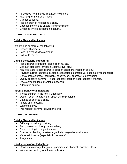- Is isolated from friends, relatives, neighbors.
- Has long-term chronic illness.
- Cannot be found.
- Has a history of neglect as a child.
- Exposes the child to unsafe living conditions.
- Evidence limited intellectual capacity.

#### **C. EMOTIONAL NEGLECT:**

#### **Child's Physical Indicators:**

Exhibits one or more of the following:

- Speech Disorders.
- Lags in physical development.
- Failure to thrive.

#### **Child's Behavioral Indicators:**

- Habit disorders (sucking, biting, rocking, etc.)
- Conduct disorders (antisocial, destructive, etc.)
- Neurotic traits (sleep disorders, speech disorders, inhibition of play)
- Psychoneurotic reactions (hysteria, obsessions, compulsive, phobias, hypochondria)
- Behavioral extremes: compliant, passive, shy, aggressive, demanding.
- Overly adaptive behavior: inappropriately adult or inappropriately infantile.
- Developmental lags (mental, emotional)
- Attempted suicide.

#### **Parent's Behavioral Indicators:**

- Treats children in the family unequally.
- Doesn't seem to care much about child's problems.
- Blames or belittles a child.
- Is cold and rejecting.
- Withholds love.
- Inconsistent behavior toward the child.

#### **D. SEXUAL ABUSE:**

#### **Child's Physical Indicators:**

- Difficulty in walking or sitting.
- Torn, stained or bloody underclothing.
- Pain or itching in the genital area.
- Bruises or bleeding in external genitalia, vaginal or anal areas.
- Venereal disease (especially in pre-teens).
- Pregnancy.

#### **Child's Behavioral Indicators:**

- Unwilling to change for gym or participate in physical education class.
- Withdrawal, fantasy or infantile behavior.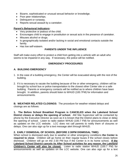- Bizarre, sophisticated or unusual sexual behavior or knowledge.
- Poor peer relationships.
- Delinquent or runaway.
- Reports sexual assault by a caretaker.

#### **Parent's Behavioral Indicators:**

- Very protective or jealous of the child.
- Encourages child to engage in prostitution or sexual acts in the presence of caretaker.
- Misuses alcohol or drugs.
- Is geographically isolated and/or lacking in social and emotional contacts outside the family.
- Has low self-esteem.

#### **PARENTS UNDER THE INFLUENCE**

Staff will make every effort to protect a child from getting into a vehicle with an adult who seems to be impaired in any way. If necessary, the police will be notified.

#### **EMERGENCY PROCEDURES**

#### **A. BUILDING EMERGENCY**

- 1. In the case of a building emergency, the Center will be evacuated along with the rest of the building.
- 2. If it is necessary to vacate the building because of fire or other emergency, children will be brought by school bus or police transportation to the closest other Center site or a safe building. Parents or emergency contacts will be notified as to where children have been brought. In addition, parents should listen to WHUD (100.7FM) for information and announcements.

**B. WEATHER RELATED CLOSINGS:** The procedure for weather related delays and closings are as follows:

**1. The Before School Breakfast Program is CANCELED when the Lakeland School District closes or delays the opening of school.** AM Site Supervisor will be contacted by phone by the Executive Director as soon as it is known that the District plans to close or delay the opening of school. Listen to radio station WHUD (100.7 FM) for announcements as well as updates on the LCC website. LCC does not call parents to notify them of closures or delays. One can also sign up for a text message alert through WHUD.

#### **2. EARLY DISMISSAL OF SCHOOL (BEFORE 2:30PM DISMISSAL TIME):**

When school is dismissed early due to weather or other emergency conditions **the Center is required to close**. Children will go home on their regular buses if the school closes before dismissal. Children will go on the 2:30 PM bus if the Center is in its home school**. If the Lakeland School District cancels its After School activities for any reason, the Lakeland Children's Center will also be closed.** Listen to radio station WHUD (100.7 FM) for announcements as well as updates on the LCC website. One can also sign up for a text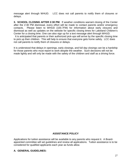message alert through WHUD. LCC does not call parents to notify them of closures or delays.

**3. SCHOOL CLOSING AFTER 2:30 PM:** If weather conditions warrant closing of the Center after the 2:30 PM dismissal, every effort will be made to contact parents and/or emergency contacts. Please listen to WHUD (100.7FM) for information about early closures and dismissal as well as updates on the website for specific closing times for Lakeland Children's Center for a closing time. One can also sign up for a text message alert through WHUD.

 It is anticipated that parents or their authorized pick-ups will arrive by the specific closing time to pick up their children. This will help to ensure that everyone gets home safely. LCC does not call parents to notify them of closures or delays.

It is understood that delays in openings, early closings, and full day closings can be a hardship for those parents who must report to work despite the weather. Such decisions will not be made lightly and will only be made with the safety of the children and staff as a driving force.

#### **ASSISTANCE POLICY**

Applications for tuition assistance will be available to any parents who request it. A Boardappointed committee will set guidelines and review all applications. Tuition assistance is to be considered for qualified applicants each year as funds allow.

#### **A. GENERAL GUIDELINES:**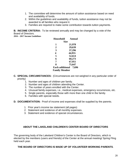- 1. The committee will determine the amount of tuition assistance based on need and availability of funds.
- 2. Within the guidelines and availability of funds, tuition assistance may not be awarded to all families who request it.
- 3. Families are required to make some contribution towards tuition payments.

**B. INCOME CRITERIA:** To be reviewed annually and may be changed by a vote of the Board of Directors.

**2016 – 2017 Income Guidelines** 

| <b>Household</b>                | Annual |  |
|---------------------------------|--------|--|
| Size                            |        |  |
| 1                               | 21,978 |  |
| 2                               | 29,639 |  |
| 3                               | 37,296 |  |
| 4                               | 44,955 |  |
| 5                               | 52,614 |  |
| 6                               | 60,273 |  |
| 7                               | 67,951 |  |
| 8                               | 75,647 |  |
| <b>Each additional</b><br>7,696 |        |  |
| <b>Family Member</b>            |        |  |

- **C. SPECIAL CIRCUMSTANCES:** (Circumstances are not weighed in any particular order of priority)
	- 1. Number and ages of children per family.
	- 2. Number and ages of children attending the Center.
	- 3. The number of years enrolled with the Center.
	- 4. Unusual family expenses, i.e., medical expenses, emergency occurrences, etc.
	- 5. Single parents, especially those with more than one child in the family.
	- 6. Families with special needs.
- **D. DOCUMENTATION:** Proof of income and expenses shall be supplied by the parents.
	- 1. Prior year's income tax statement (all pages)
	- 2. Statement and evidence of all monthly expenses.
	- 3. Statement and evidence of special circumstances.

#### **ABOUT THE LAKELAND CHILDREN'S CENTER BOARD OF DIRECTORS**

The governing body of the Lakeland Children's Center is the Board of Directors, which is elected by the members (users and friends) of the Center at the annual meeting/ Spring Fling held each year.

#### **THE BOARD OF DIRECTORS IS MADE UP OF VOLUNTEER WORKING PARENTS**.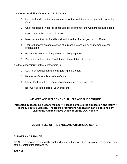It is the responsibility of the Board of Directors to:

- 1. Hold staff and volunteers accountable for the work they have agreed to do for the Center.
- 2. Carry responsibility for the continued development of the Center's resource base.
- 3. Keep track of the Center's finances.
- 4. Make certain that staff and board work together for the good of the Center.
- 5. Ensure that a vision and a sense of purpose are shared by all members of the organization.
- 6. Be responsible for looking ahead and keeping ahead!
- 7. Set policy and assist staff with the implementation of policy.

It is the responsibility of the membership to:

- 1. Stay informed about matters regarding the Center.
- 2. Be aware of the policies of the Center.
- 3. Inform the Executive Director regarding concerns or problems.
- 4. Be involved in the care of your children!

#### **WE NEED AND WELCOME YOUR HELP AND SUGGESTIONS**

**Interested in becoming a Board member? Please complete the application and return it to the Executive Director. The Board of Directors Application can be obtained by calling the Administrative Office or on the LCC website.** 

#### **COMMITTEES OF THE LAKELAND CHILDREN'S CENTER**

#### **BUDGET AND FINANCE**

**GOAL:** To prepare the annual budget and to assist the Executive Director in the management of the Center's financial affairs.

#### **TASKS:**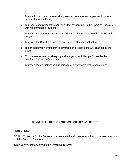- 1. To establish a timetable to receive projected revenues and expenses in order to prepare the annual budget.
- 2. To prepare and present the annual budget for approval to the Board of Directors with recommended revisions.
- 3. To conduct a quarterly review of the fiscal situation of the Center in relation to the budget.
- 4. To advise the Board on problems and policies of a financial nature.
- 5. To periodically review insurance coverage and recommend any changes to the Board.
- 6. To oversee routine bookkeeping and budgeting activities performed by the Lakeland Children's Center staff.
- 7. To review the annual financial report and audit prepared by the accountant.

#### **COMMITTEES OF THE LAKELAND CHILDREN'S CENTER**

#### **PERSONNEL**

**GOAL:** To secure for the Center a competent staff and to serve as a liaison between the staff and the Board of Directors.

**TASKS:** Working closely with the Executive Director: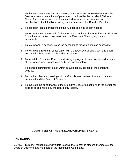- 1. To develop recruitment and interviewing procedures and to review the Executive Director's recommendations of personnel to be hired by the Lakeland Children's Center (including substitute staff as needed) who meet the professional qualifications stipulated by licensing requirements and the Board of Directors.
- 2. To consider recommendations on the number and kind of staff needed.
- 3. To recommend to the Board of Directors in joint action with the Budget and Finance Committee, and after consultation with the Executive Director, any salary increments.
- 4. To review and, if needed, revise job descriptions for all job titles as necessary.
- 5. To review and revise, in consultation with the Executive Director, staff and Board, personnel policies periodically and/or as needed.
- 6. To assist the Executive Director in devising a program to improve the performance of staff whose work is evaluated as being unsatisfactory.
- 7. To dismiss administrative staff within established guidelines of the personnel policies.
- 8. To conduct bi-annual meetings with staff to discuss matters of mutual concern to personnel and the Board of Directors.
- 9. To evaluate the performance of the Executive Director as set forth in the personnel policies or as directed by the Board of Directors.

#### **COMMITTEES OF THE LAKELAND CHILDREN'S CENTER**

#### **NOMINATING**

**GOALS:** To recruit responsible individuals to serve the Center as officers, members of the Board of Directors, and members of the Nominating Committee.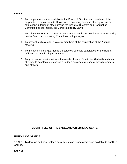#### **TASKS:**

- 1. To complete and make available to the Board of Directors and members of the corporation a single slate to fill vacancies occurring because of resignations or expirations in terms of office among the Board of Directors and Nominating Committee as outlined by the Corporation's By-Laws.
- 2. To submit to the Board names of one or more candidates to fill a vacancy occurring on the Board or Nominating Committee during the year.
- 3. To present such slate for a vote by members of the corporation at the Annual Meeting.
- 4. To maintain a file of qualified and interested potential candidates for the Board, Officers and Nominating Committee.
- 5. To give careful consideration to the needs of each office to be filled with particular attention to developing successors under a system of rotation of Board members and officers.

#### **COMMITTEES OF THE LAKELAND CHILDREN'S CENTER**

#### **TUITION ASSISTANCE**

**GOALS:** To develop and administer a system to make tuition assistance available to qualified families.

#### **TASKS:**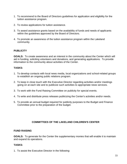- 1. To recommend to the Board of Directors guidelines for application and eligibility for the tuition assistance program.
- 2. To review applications for tuition assistance.
- 3. To award assistance grants based on the availability of funds and needs of applicants within the guidelines approved by the Board of Directors.
- 4. To promote an awareness of the tuition assistance program within the Lakeland community.

#### **PUBLICITY**

**GOALS:** To create awareness and an interest in the community about the Center which will aid in funding, soliciting volunteers and donations, and generating applications. To provide information to the community about activities of the Center.

#### **TASKS:**

- 1. To develop contacts with local news media, local organizations and school-related groups to establish an ongoing public relations program.
- 2. To keep in close touch with the Executive Director regarding activities and/or meetings going on at each site and to publicize such activities to appropriate news services.
- 3. To work with the Fund Raising Committee on publicity for special events.
- 4. To write and distribute press releases publicizing the Center's activities and/or needs.
- 5. To provide an annual budget required for publicity purposes to the Budget and Finance Committee prior to the preparation of the budget.

#### **COMMITTEES OF THE LAKELAND CHILDREN'S CENTER**

#### **FUND RAISING**

**GOALS:** To generate for the Center the supplementary monies that will enable it to maintain and expand its operations.

#### **TASKS:**

1. To assist the Executive Director in the following: